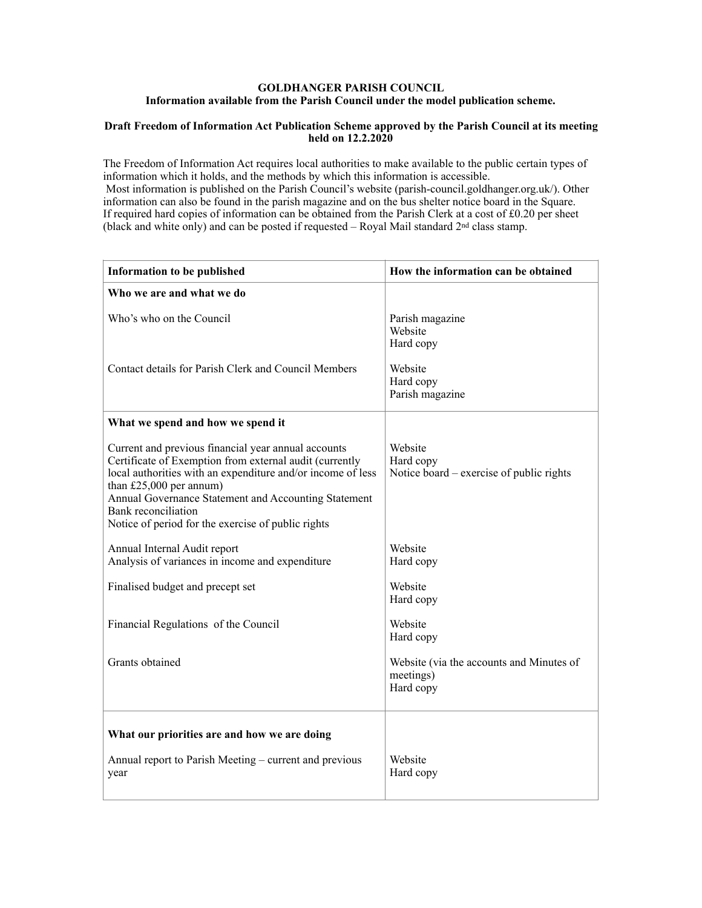## **GOLDHANGER PARISH COUNCIL Information available from the Parish Council under the model publication scheme.**

## **Draft Freedom of Information Act Publication Scheme approved by the Parish Council at its meeting held on 12.2.2020**

The Freedom of Information Act requires local authorities to make available to the public certain types of information which it holds, and the methods by which this information is accessible. Most information is published on the Parish Council's website (parish-council.goldhanger.org.uk/). Other information can also be found in the parish magazine and on the bus shelter notice board in the Square. If required hard copies of information can be obtained from the Parish Clerk at a cost of £0.20 per sheet (black and white only) and can be posted if requested – Royal Mail standard 2nd class stamp.

| Information to be published                                                                                                                                                                                                                                                                                                                     | How the information can be obtained                                |
|-------------------------------------------------------------------------------------------------------------------------------------------------------------------------------------------------------------------------------------------------------------------------------------------------------------------------------------------------|--------------------------------------------------------------------|
| Who we are and what we do                                                                                                                                                                                                                                                                                                                       |                                                                    |
| Who's who on the Council                                                                                                                                                                                                                                                                                                                        | Parish magazine<br>Website<br>Hard copy                            |
| Contact details for Parish Clerk and Council Members                                                                                                                                                                                                                                                                                            | Website<br>Hard copy<br>Parish magazine                            |
| What we spend and how we spend it                                                                                                                                                                                                                                                                                                               |                                                                    |
| Current and previous financial year annual accounts<br>Certificate of Exemption from external audit (currently<br>local authorities with an expenditure and/or income of less<br>than $£25,000$ per annum)<br>Annual Governance Statement and Accounting Statement<br>Bank reconciliation<br>Notice of period for the exercise of public rights | Website<br>Hard copy<br>Notice board – exercise of public rights   |
| Annual Internal Audit report<br>Analysis of variances in income and expenditure                                                                                                                                                                                                                                                                 | Website<br>Hard copy                                               |
| Finalised budget and precept set                                                                                                                                                                                                                                                                                                                | Website<br>Hard copy                                               |
| Financial Regulations of the Council                                                                                                                                                                                                                                                                                                            | Website<br>Hard copy                                               |
| Grants obtained                                                                                                                                                                                                                                                                                                                                 | Website (via the accounts and Minutes of<br>meetings)<br>Hard copy |
| What our priorities are and how we are doing                                                                                                                                                                                                                                                                                                    |                                                                    |
| Annual report to Parish Meeting – current and previous<br>year                                                                                                                                                                                                                                                                                  | Website<br>Hard copy                                               |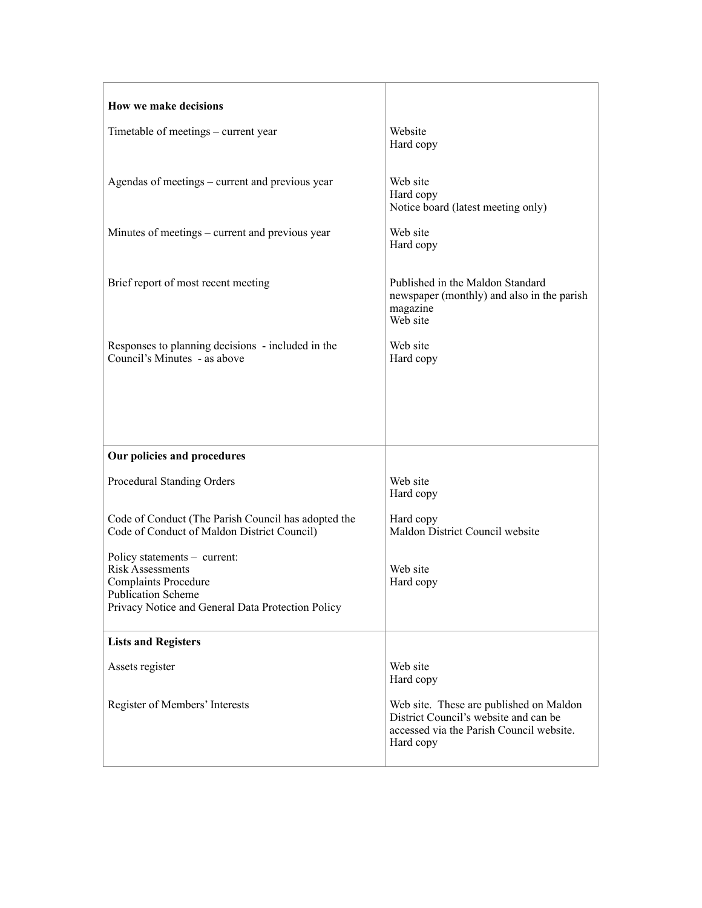| How we make decisions                                                                                                                                                    |                                                                                                                                           |
|--------------------------------------------------------------------------------------------------------------------------------------------------------------------------|-------------------------------------------------------------------------------------------------------------------------------------------|
| Timetable of meetings – current year                                                                                                                                     | Website<br>Hard copy                                                                                                                      |
| Agendas of meetings – current and previous year                                                                                                                          | Web site<br>Hard copy<br>Notice board (latest meeting only)                                                                               |
| Minutes of meetings – current and previous year                                                                                                                          | Web site<br>Hard copy                                                                                                                     |
| Brief report of most recent meeting                                                                                                                                      | Published in the Maldon Standard<br>newspaper (monthly) and also in the parish<br>magazine<br>Web site                                    |
| Responses to planning decisions - included in the<br>Council's Minutes - as above                                                                                        | Web site<br>Hard copy                                                                                                                     |
|                                                                                                                                                                          |                                                                                                                                           |
| Our policies and procedures                                                                                                                                              |                                                                                                                                           |
| Procedural Standing Orders                                                                                                                                               | Web site<br>Hard copy                                                                                                                     |
| Code of Conduct (The Parish Council has adopted the<br>Code of Conduct of Maldon District Council)                                                                       | Hard copy<br>Maldon District Council website                                                                                              |
| Policy statements - current:<br><b>Risk Assessments</b><br><b>Complaints Procedure</b><br><b>Publication Scheme</b><br>Privacy Notice and General Data Protection Policy | Web site<br>Hard copy                                                                                                                     |
| <b>Lists and Registers</b>                                                                                                                                               |                                                                                                                                           |
| Assets register                                                                                                                                                          | Web site<br>Hard copy                                                                                                                     |
| Register of Members' Interests                                                                                                                                           | Web site. These are published on Maldon<br>District Council's website and can be<br>accessed via the Parish Council website.<br>Hard copy |